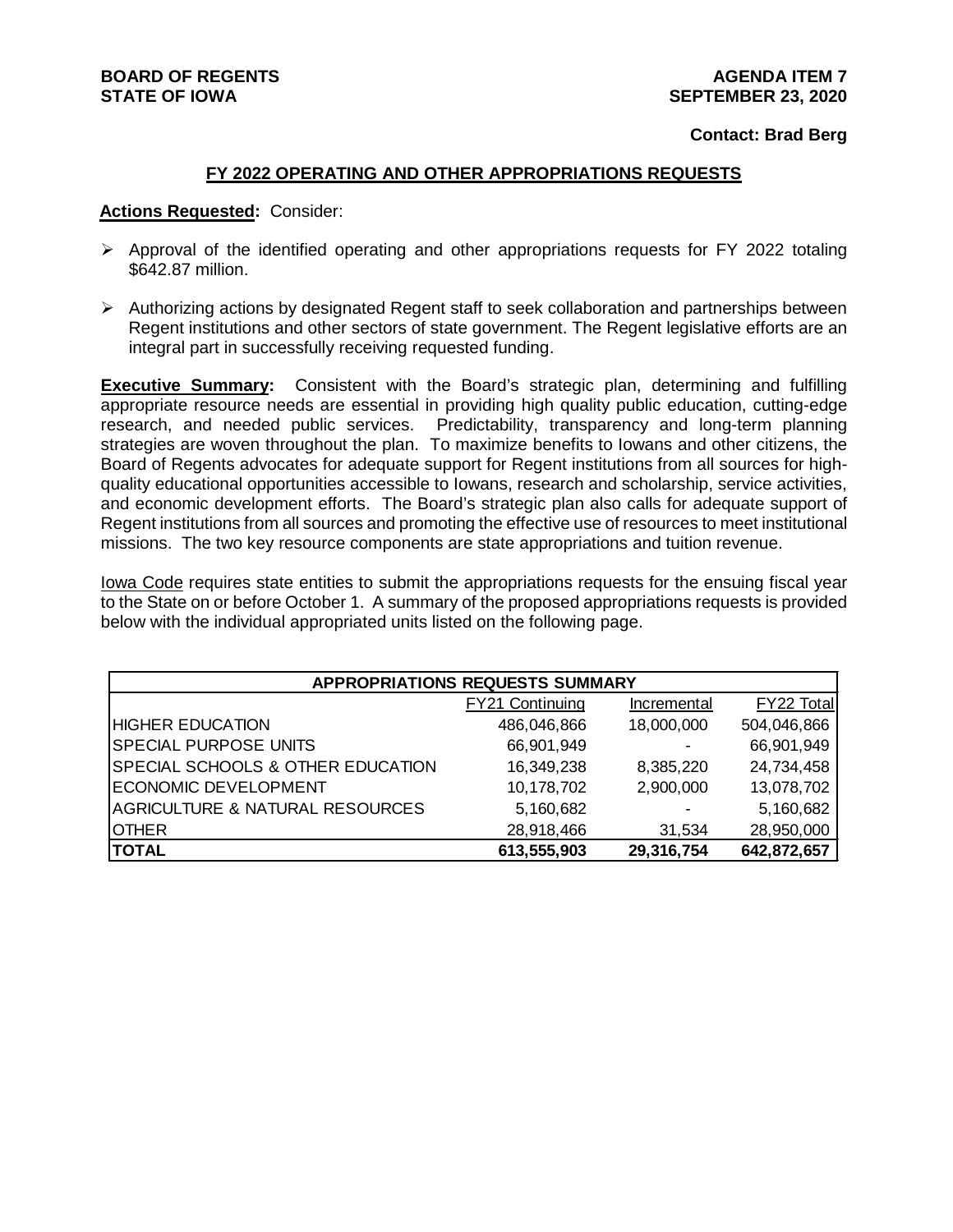#### **Contact: Brad Berg**

#### **FY 2022 OPERATING AND OTHER APPROPRIATIONS REQUESTS**

#### **Actions Requested:** Consider:

- $\triangleright$  Approval of the identified operating and other appropriations requests for FY 2022 totaling \$642.87 million.
- $\triangleright$  Authorizing actions by designated Regent staff to seek collaboration and partnerships between Regent institutions and other sectors of state government. The Regent legislative efforts are an integral part in successfully receiving requested funding.

**Executive Summary:** Consistent with the Board's strategic plan, determining and fulfilling appropriate resource needs are essential in providing high quality public education, cutting-edge research, and needed public services. Predictability, transparency and long-term planning strategies are woven throughout the plan. To maximize benefits to Iowans and other citizens, the Board of Regents advocates for adequate support for Regent institutions from all sources for highquality educational opportunities accessible to Iowans, research and scholarship, service activities, and economic development efforts. The Board's strategic plan also calls for adequate support of Regent institutions from all sources and promoting the effective use of resources to meet institutional missions. The two key resource components are state appropriations and tuition revenue.

Iowa Code requires state entities to submit the appropriations requests for the ensuing fiscal year to the State on or before October 1. A summary of the proposed appropriations requests is provided below with the individual appropriated units listed on the following page.

| <b>APPROPRIATIONS REQUESTS SUMMARY</b>       |                        |             |             |  |
|----------------------------------------------|------------------------|-------------|-------------|--|
|                                              | <b>FY21 Continuing</b> | Incremental | FY22 Total  |  |
| <b>HIGHER EDUCATION</b>                      | 486,046,866            | 18,000,000  | 504,046,866 |  |
| <b>SPECIAL PURPOSE UNITS</b>                 | 66,901,949             |             | 66,901,949  |  |
| <b>SPECIAL SCHOOLS &amp; OTHER EDUCATION</b> | 16,349,238             | 8,385,220   | 24,734,458  |  |
| <b>ECONOMIC DEVELOPMENT</b>                  | 10,178,702             | 2,900,000   | 13,078,702  |  |
| <b>AGRICULTURE &amp; NATURAL RESOURCES</b>   | 5,160,682              | -           | 5,160,682   |  |
| <b>OTHER</b>                                 | 28,918,466             | 31,534      | 28,950,000  |  |
| <b>TOTAL</b>                                 | 613,555,903            | 29,316,754  | 642,872,657 |  |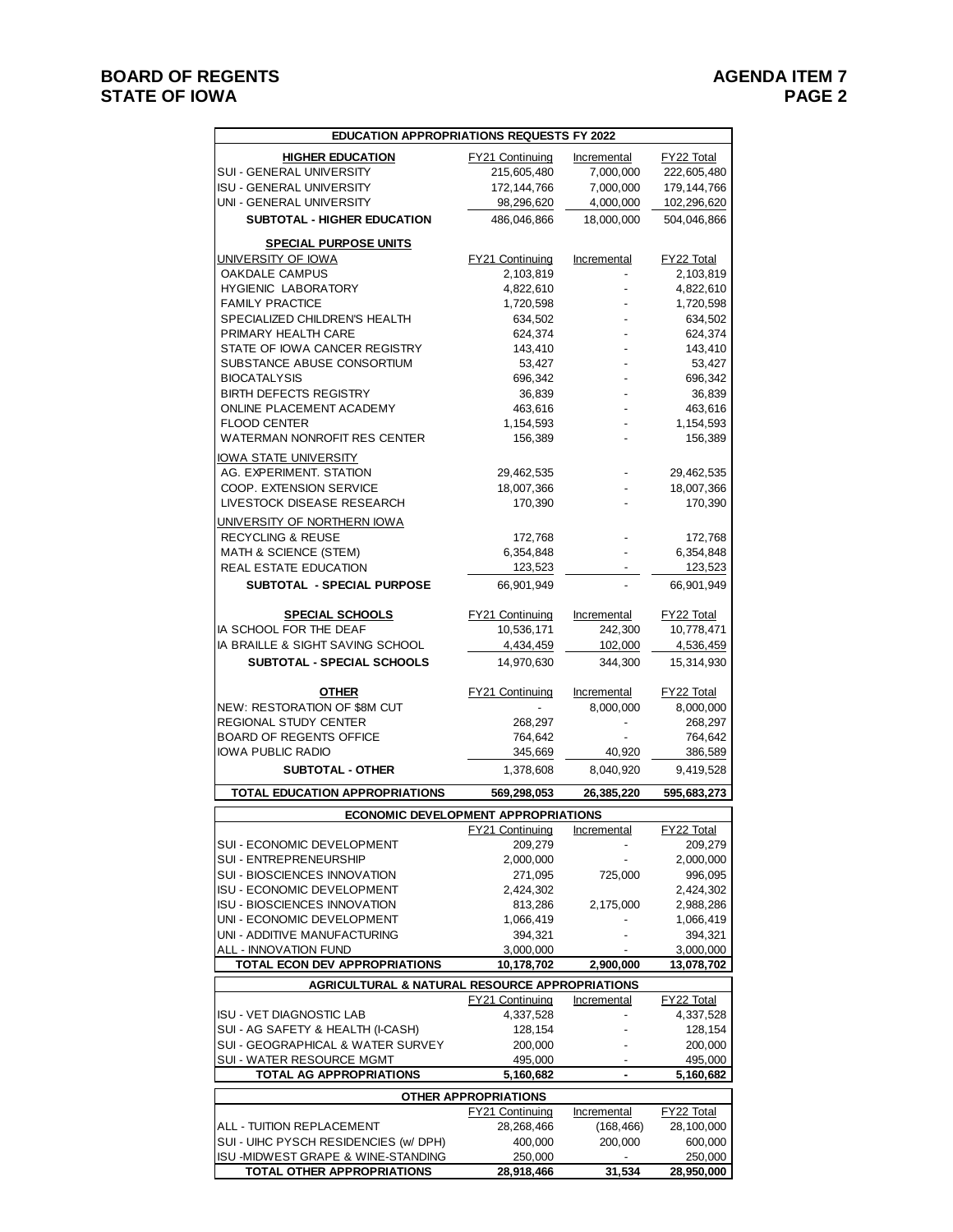| <b>EDUCATION APPROPRIATIONS REQUESTS FY 2022</b>                            |                             |                |                       |  |
|-----------------------------------------------------------------------------|-----------------------------|----------------|-----------------------|--|
| <b>HIGHER EDUCATION</b>                                                     | <b>FY21 Continuing</b>      | Incremental    | <b>FY22 Total</b>     |  |
| SUI - GENERAL UNIVERSITY                                                    | 215,605,480                 | 7,000,000      | 222,605,480           |  |
| ISU - GENERAL UNIVERSITY                                                    | 172, 144, 766               | 7,000,000      | 179, 144, 766         |  |
| UNI - GENERAL UNIVERSITY                                                    | 98,296,620                  | 4,000,000      | 102,296,620           |  |
| <b>SUBTOTAL - HIGHER EDUCATION</b>                                          | 486,046,866                 | 18,000,000     | 504,046,866           |  |
| <b>SPECIAL PURPOSE UNITS</b>                                                |                             |                |                       |  |
| <u>UNIVERSITY OF IOWA</u>                                                   | <b>FY21 Continuing</b>      | Incremental    | FY22 Total            |  |
| OAKDALE CAMPUS                                                              | 2,103,819                   |                | 2,103,819             |  |
| <b>HYGIENIC LABORATORY</b>                                                  | 4,822,610                   |                | 4,822,610             |  |
| <b>FAMILY PRACTICE</b>                                                      | 1,720,598                   |                | 1,720,598             |  |
| SPECIALIZED CHILDREN'S HEALTH                                               | 634,502                     |                | 634,502               |  |
| PRIMARY HEALTH CARE                                                         | 624,374                     |                | 624,374               |  |
| STATE OF IOWA CANCER REGISTRY                                               | 143,410                     |                | 143,410               |  |
| SUBSTANCE ABUSE CONSORTIUM                                                  | 53,427                      |                | 53,427                |  |
| <b>BIOCATALYSIS</b><br><b>BIRTH DEFECTS REGISTRY</b>                        | 696,342<br>36,839           |                | 696,342<br>36,839     |  |
| ONLINE PLACEMENT ACADEMY                                                    | 463,616                     |                | 463,616               |  |
| <b>FLOOD CENTER</b>                                                         | 1,154,593                   |                | 1,154,593             |  |
| WATERMAN NONROFIT RES CENTER                                                | 156,389                     |                | 156,389               |  |
| <u>IOWA STATE UNIVERSITY</u>                                                |                             |                |                       |  |
| AG. EXPERIMENT. STATION                                                     | 29,462,535                  |                | 29,462,535            |  |
| COOP. EXTENSION SERVICE                                                     | 18,007,366                  |                | 18,007,366            |  |
| LIVESTOCK DISEASE RESEARCH                                                  | 170,390                     |                | 170,390               |  |
| UNIVERSITY OF NORTHERN IOWA                                                 |                             |                |                       |  |
| <b>RECYCLING &amp; REUSE</b>                                                | 172,768                     |                | 172,768               |  |
| MATH & SCIENCE (STEM)                                                       | 6,354,848                   |                | 6,354,848             |  |
| <b>REAL ESTATE EDUCATION</b>                                                | 123,523                     |                | 123,523               |  |
| SUBTOTAL - SPECIAL PURPOSE                                                  | 66,901,949                  |                | 66,901,949            |  |
|                                                                             |                             |                |                       |  |
| <b>SPECIAL SCHOOLS</b>                                                      | <b>FY21 Continuing</b>      | Incremental    | FY22 Total            |  |
| IA SCHOOL FOR THE DEAF                                                      | 10,536,171                  | 242,300        | 10,778,471            |  |
| IA BRAILLE & SIGHT SAVING SCHOOL                                            | 4,434,459                   | 102,000        | 4,536,459             |  |
| <b>SUBTOTAL - SPECIAL SCHOOLS</b>                                           | 14,970,630                  | 344,300        | 15,314,930            |  |
|                                                                             |                             |                |                       |  |
|                                                                             |                             |                |                       |  |
| <b>OTHER</b>                                                                | <b>FY21 Continuing</b>      | Incremental    | FY22 Total            |  |
| NEW: RESTORATION OF \$8M CUT<br>REGIONAL STUDY CENTER                       | 268,297                     | 8,000,000      | 8,000,000<br>268,297  |  |
| <b>BOARD OF REGENTS OFFICE</b>                                              | 764,642                     |                | 764,642               |  |
| IOWA PUBLIC RADIO                                                           | 345,669                     | 40,920         | 386,589               |  |
| <b>SUBTOTAL - OTHER</b>                                                     | 1,378,608                   | 8,040,920      | 9,419,528             |  |
| <b>TOTAL EDUCATION APPROPRIATIONS</b>                                       | 569,298,053                 |                |                       |  |
|                                                                             |                             | 26,385,220     | 595,683,273           |  |
| ECONOMIC DEVELOPMENT APPROPRIATIONS                                         |                             |                |                       |  |
| SUI - ECONOMIC DEVELOPMENT                                                  | FY21 Continuing<br>209,279  | Incremental    | FY22 Total<br>209,279 |  |
| SUI - ENTREPRENEURSHIP                                                      | 2,000,000                   |                | 2,000,000             |  |
| SUI - BIOSCIENCES INNOVATION                                                | 271,095                     | 725,000        | 996,095               |  |
| <b>ISU - ECONOMIC DEVELOPMENT</b>                                           | 2,424,302                   |                | 2,424,302             |  |
| ISU - BIOSCIENCES INNOVATION                                                | 813,286                     | 2,175,000      | 2,988,286             |  |
| UNI - ECONOMIC DEVELOPMENT                                                  | 1,066,419                   |                | 1,066,419             |  |
| UNI - ADDITIVE MANUFACTURING                                                | 394,321                     |                | 394,321               |  |
| ALL - INNOVATION FUND                                                       | 3,000,000                   |                | 3,000,000             |  |
| TOTAL ECON DEV APPROPRIATIONS                                               | 10,178,702                  | 2,900,000      | 13,078,702            |  |
| AGRICULTURAL & NATURAL RESOURCE APPROPRIATIONS                              | FY21 Continuing             | Incremental    | FY22 Total            |  |
| ISU - VET DIAGNOSTIC LAB                                                    | 4,337,528                   |                | 4,337,528             |  |
| SUI - AG SAFETY & HEALTH (I-CASH)                                           | 128,154                     |                | 128,154               |  |
| SUI - GEOGRAPHICAL & WATER SURVEY                                           | 200,000                     |                | 200,000               |  |
| SUI - WATER RESOURCE MGMT                                                   | 495,000                     |                | 495,000               |  |
| TOTAL AG APPROPRIATIONS                                                     | 5,160,682                   | $\blacksquare$ | 5,160,682             |  |
|                                                                             | <b>OTHER APPROPRIATIONS</b> |                |                       |  |
|                                                                             | <b>FY21 Continuing</b>      | Incremental    | FY22 Total            |  |
| ALL - TUITION REPLACEMENT                                                   | 28,268,466                  | (168, 466)     | 28,100,000            |  |
| SUI - UIHC PYSCH RESIDENCIES (w/ DPH)<br>ISU -MIDWEST GRAPE & WINE-STANDING | 400,000<br>250,000          | 200,000        | 600,000<br>250,000    |  |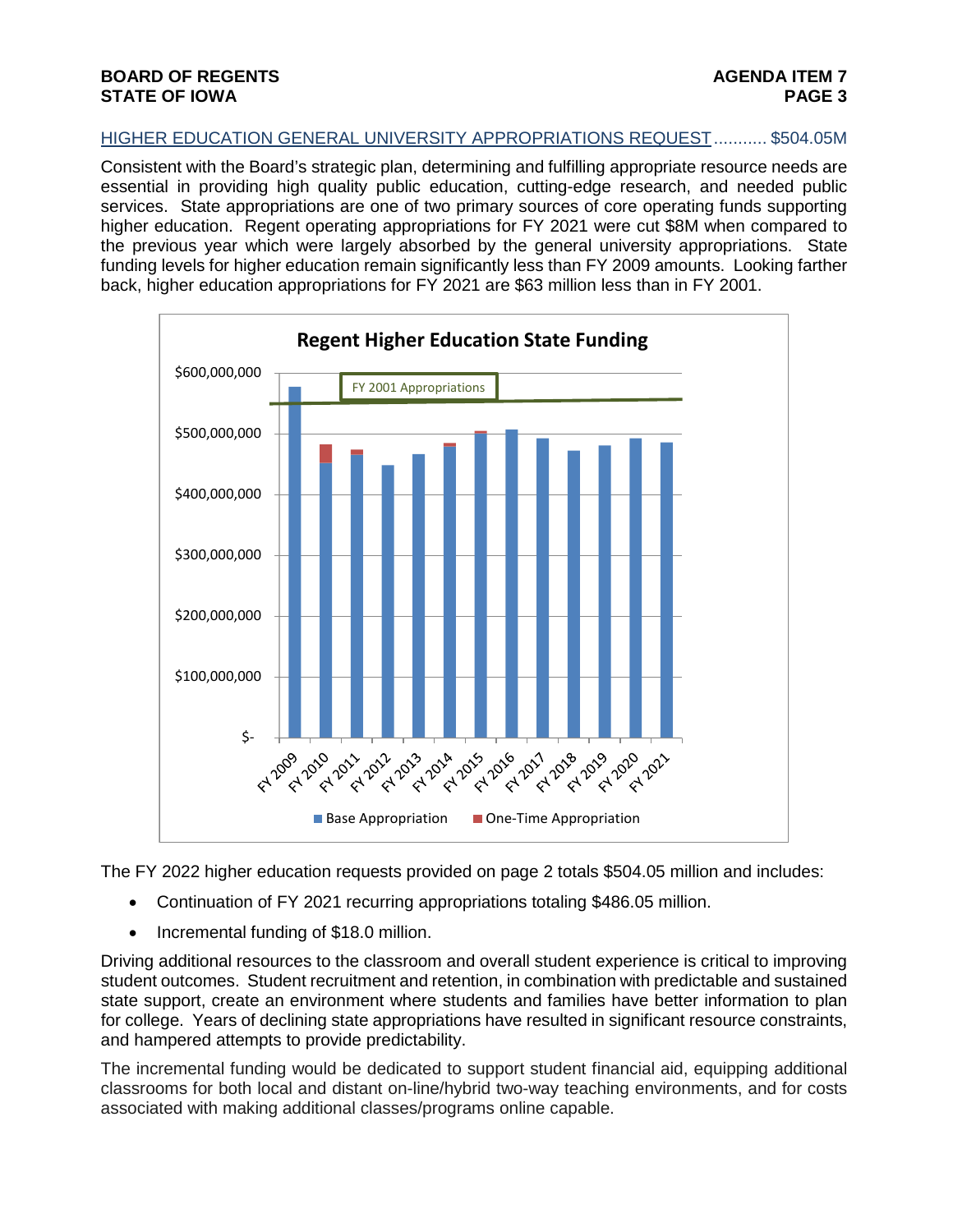# HIGHER EDUCATION GENERAL UNIVERSITY APPROPRIATIONS REQUEST........... \$504.05M

Consistent with the Board's strategic plan, determining and fulfilling appropriate resource needs are essential in providing high quality public education, cutting-edge research, and needed public services. State appropriations are one of two primary sources of core operating funds supporting higher education. Regent operating appropriations for FY 2021 were cut \$8M when compared to the previous year which were largely absorbed by the general university appropriations. State funding levels for higher education remain significantly less than FY 2009 amounts. Looking farther back, higher education appropriations for FY 2021 are \$63 million less than in FY 2001.



The FY 2022 higher education requests provided on page 2 totals \$504.05 million and includes:

- Continuation of FY 2021 recurring appropriations totaling \$486.05 million.
- Incremental funding of \$18.0 million.

Driving additional resources to the classroom and overall student experience is critical to improving student outcomes. Student recruitment and retention, in combination with predictable and sustained state support, create an environment where students and families have better information to plan for college. Years of declining state appropriations have resulted in significant resource constraints, and hampered attempts to provide predictability.

The incremental funding would be dedicated to support student financial aid, equipping additional classrooms for both local and distant on-line/hybrid two-way teaching environments, and for costs associated with making additional classes/programs online capable.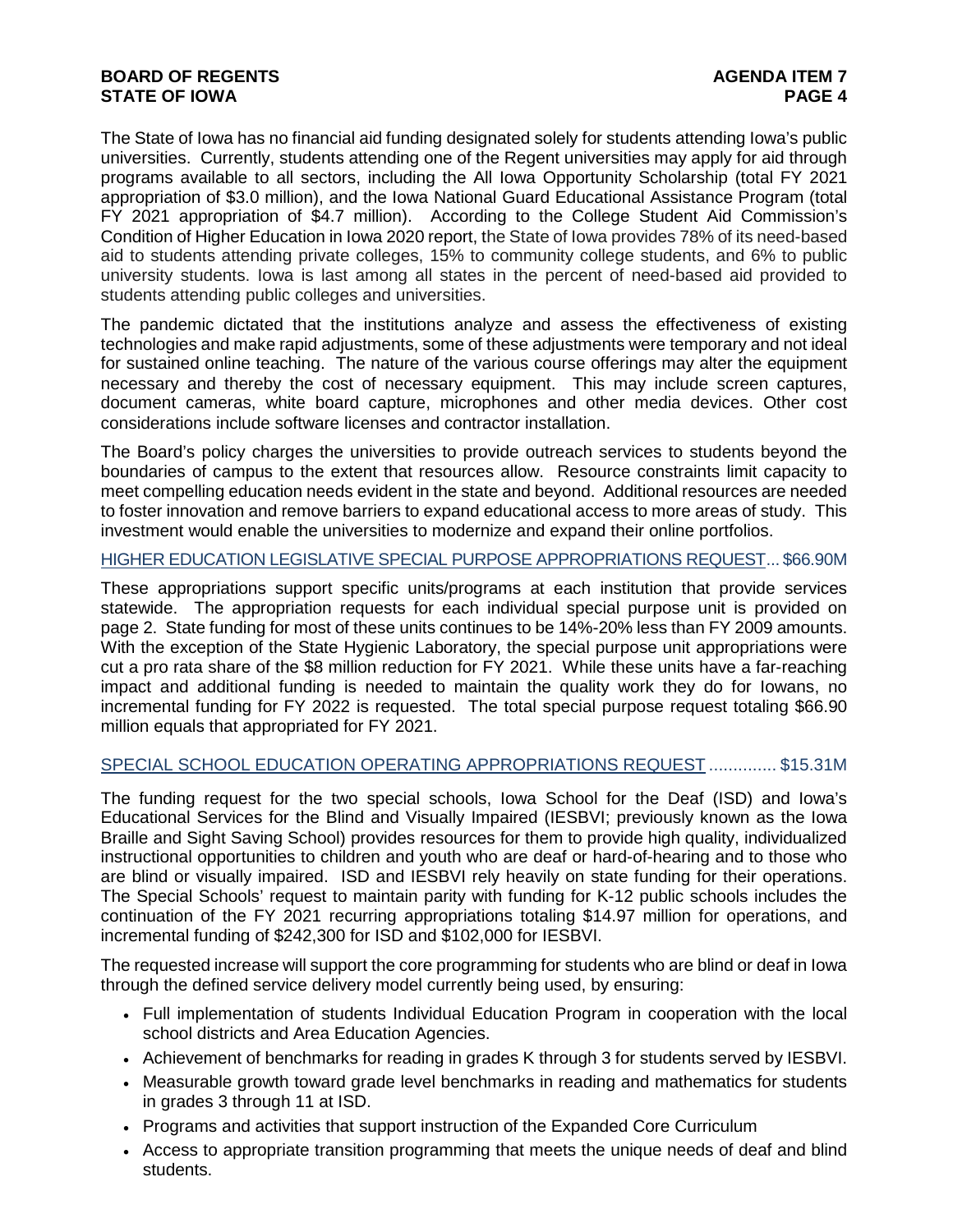The State of Iowa has no financial aid funding designated solely for students attending Iowa's public universities. Currently, students attending one of the Regent universities may apply for aid through programs available to all sectors, including the All Iowa Opportunity Scholarship (total FY 2021 appropriation of \$3.0 million), and the Iowa National Guard Educational Assistance Program (total FY 2021 appropriation of \$4.7 million). According to the College Student Aid Commission's Condition of Higher Education in Iowa 2020 report, the State of Iowa provides 78% of its need-based aid to students attending private colleges, 15% to community college students, and 6% to public university students. Iowa is last among all states in the percent of need-based aid provided to students attending public colleges and universities.

The pandemic dictated that the institutions analyze and assess the effectiveness of existing technologies and make rapid adjustments, some of these adjustments were temporary and not ideal for sustained online teaching. The nature of the various course offerings may alter the equipment necessary and thereby the cost of necessary equipment. This may include screen captures, document cameras, white board capture, microphones and other media devices. Other cost considerations include software licenses and contractor installation.

The Board's policy charges the universities to provide outreach services to students beyond the boundaries of campus to the extent that resources allow. Resource constraints limit capacity to meet compelling education needs evident in the state and beyond. Additional resources are needed to foster innovation and remove barriers to expand educational access to more areas of study. This investment would enable the universities to modernize and expand their online portfolios.

### HIGHER EDUCATION LEGISLATIVE SPECIAL PURPOSE APPROPRIATIONS REQUEST... \$66.90M

These appropriations support specific units/programs at each institution that provide services statewide. The appropriation requests for each individual special purpose unit is provided on page 2. State funding for most of these units continues to be 14%-20% less than FY 2009 amounts. With the exception of the State Hygienic Laboratory, the special purpose unit appropriations were cut a pro rata share of the \$8 million reduction for FY 2021. While these units have a far-reaching impact and additional funding is needed to maintain the quality work they do for Iowans, no incremental funding for FY 2022 is requested. The total special purpose request totaling \$66.90 million equals that appropriated for FY 2021.

# SPECIAL SCHOOL EDUCATION OPERATING APPROPRIATIONS REQUEST .............. \$15.31M

The funding request for the two special schools, Iowa School for the Deaf (ISD) and Iowa's Educational Services for the Blind and Visually Impaired (IESBVI; previously known as the Iowa Braille and Sight Saving School) provides resources for them to provide high quality, individualized instructional opportunities to children and youth who are deaf or hard-of-hearing and to those who are blind or visually impaired. ISD and IESBVI rely heavily on state funding for their operations. The Special Schools' request to maintain parity with funding for K-12 public schools includes the continuation of the FY 2021 recurring appropriations totaling \$14.97 million for operations, and incremental funding of \$242,300 for ISD and \$102,000 for IESBVI.

The requested increase will support the core programming for students who are blind or deaf in Iowa through the defined service delivery model currently being used, by ensuring:

- Full implementation of students Individual Education Program in cooperation with the local school districts and Area Education Agencies.
- Achievement of benchmarks for reading in grades K through 3 for students served by IESBVI.
- Measurable growth toward grade level benchmarks in reading and mathematics for students in grades 3 through 11 at ISD.
- Programs and activities that support instruction of the Expanded Core Curriculum
- Access to appropriate transition programming that meets the unique needs of deaf and blind students.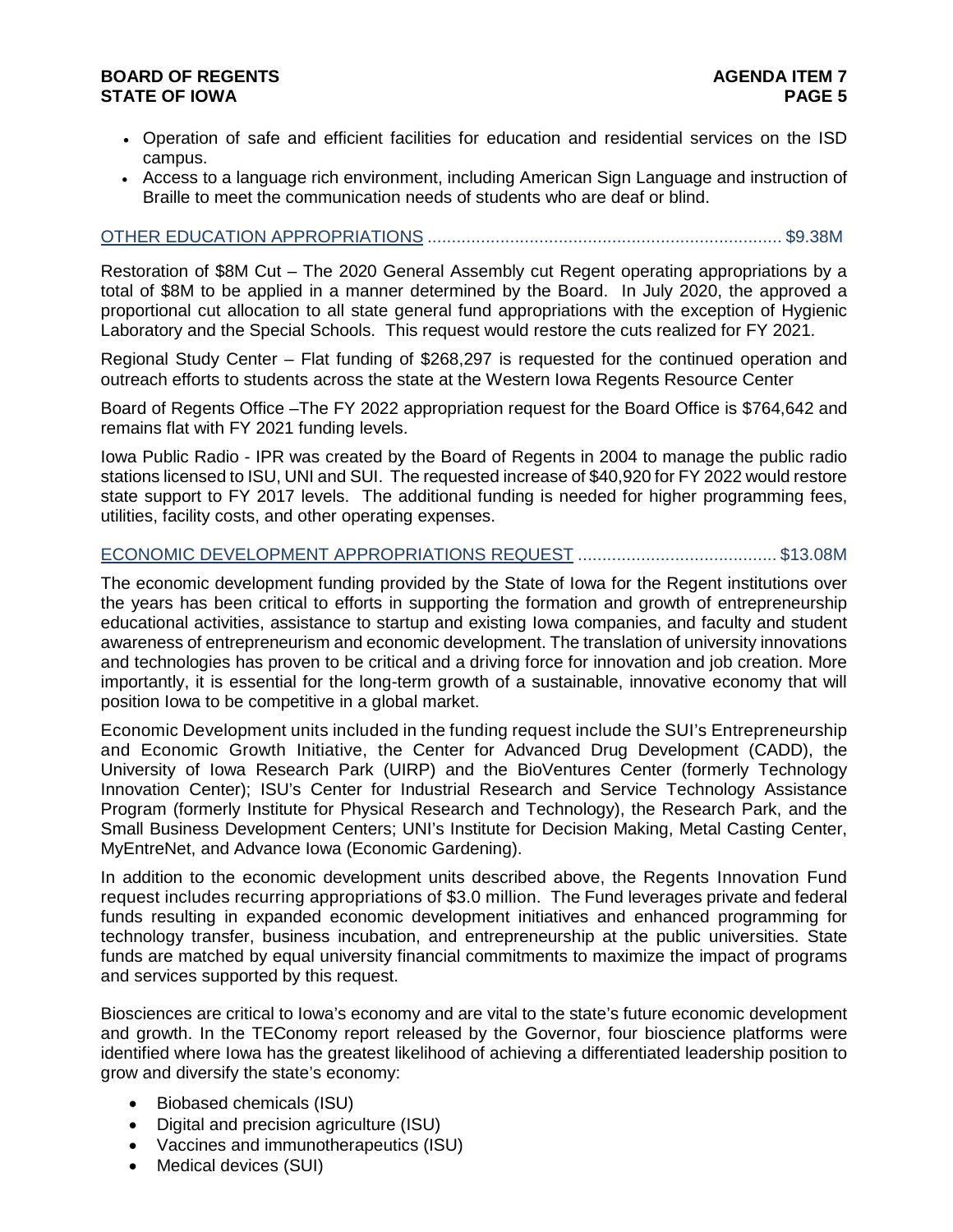- Operation of safe and efficient facilities for education and residential services on the ISD campus.
- Access to a language rich environment, including American Sign Language and instruction of Braille to meet the communication needs of students who are deaf or blind.

## OTHER EDUCATION APPROPRIATIONS ......................................................................... \$9.38M

Restoration of \$8M Cut – The 2020 General Assembly cut Regent operating appropriations by a total of \$8M to be applied in a manner determined by the Board. In July 2020, the approved a proportional cut allocation to all state general fund appropriations with the exception of Hygienic Laboratory and the Special Schools. This request would restore the cuts realized for FY 2021.

Regional Study Center – Flat funding of \$268,297 is requested for the continued operation and outreach efforts to students across the state at the Western Iowa Regents Resource Center

Board of Regents Office –The FY 2022 appropriation request for the Board Office is \$764,642 and remains flat with FY 2021 funding levels.

Iowa Public Radio - IPR was created by the Board of Regents in 2004 to manage the public radio stations licensed to ISU, UNI and SUI. The requested increase of \$40,920 for FY 2022 would restore state support to FY 2017 levels. The additional funding is needed for higher programming fees, utilities, facility costs, and other operating expenses.

#### ECONOMIC DEVELOPMENT APPROPRIATIONS REQUEST ......................................... \$13.08M

The economic development funding provided by the State of Iowa for the Regent institutions over the years has been critical to efforts in supporting the formation and growth of entrepreneurship educational activities, assistance to startup and existing Iowa companies, and faculty and student awareness of entrepreneurism and economic development. The translation of university innovations and technologies has proven to be critical and a driving force for innovation and job creation. More importantly, it is essential for the long-term growth of a sustainable, innovative economy that will position Iowa to be competitive in a global market.

Economic Development units included in the funding request include the SUI's Entrepreneurship and Economic Growth Initiative, the Center for Advanced Drug Development (CADD), the University of Iowa Research Park (UIRP) and the BioVentures Center (formerly Technology Innovation Center); ISU's Center for Industrial Research and Service Technology Assistance Program (formerly Institute for Physical Research and Technology), the Research Park, and the Small Business Development Centers; UNI's Institute for Decision Making, Metal Casting Center, MyEntreNet, and Advance Iowa (Economic Gardening).

In addition to the economic development units described above, the Regents Innovation Fund request includes recurring appropriations of \$3.0 million. The Fund leverages private and federal funds resulting in expanded economic development initiatives and enhanced programming for technology transfer, business incubation, and entrepreneurship at the public universities. State funds are matched by equal university financial commitments to maximize the impact of programs and services supported by this request.

Biosciences are critical to Iowa's economy and are vital to the state's future economic development and growth. In the TEConomy report released by the Governor, four bioscience platforms were identified where Iowa has the greatest likelihood of achieving a differentiated leadership position to grow and diversify the state's economy:

- Biobased chemicals (ISU)
- Digital and precision agriculture (ISU)
- Vaccines and immunotherapeutics (ISU)
- Medical devices (SUI)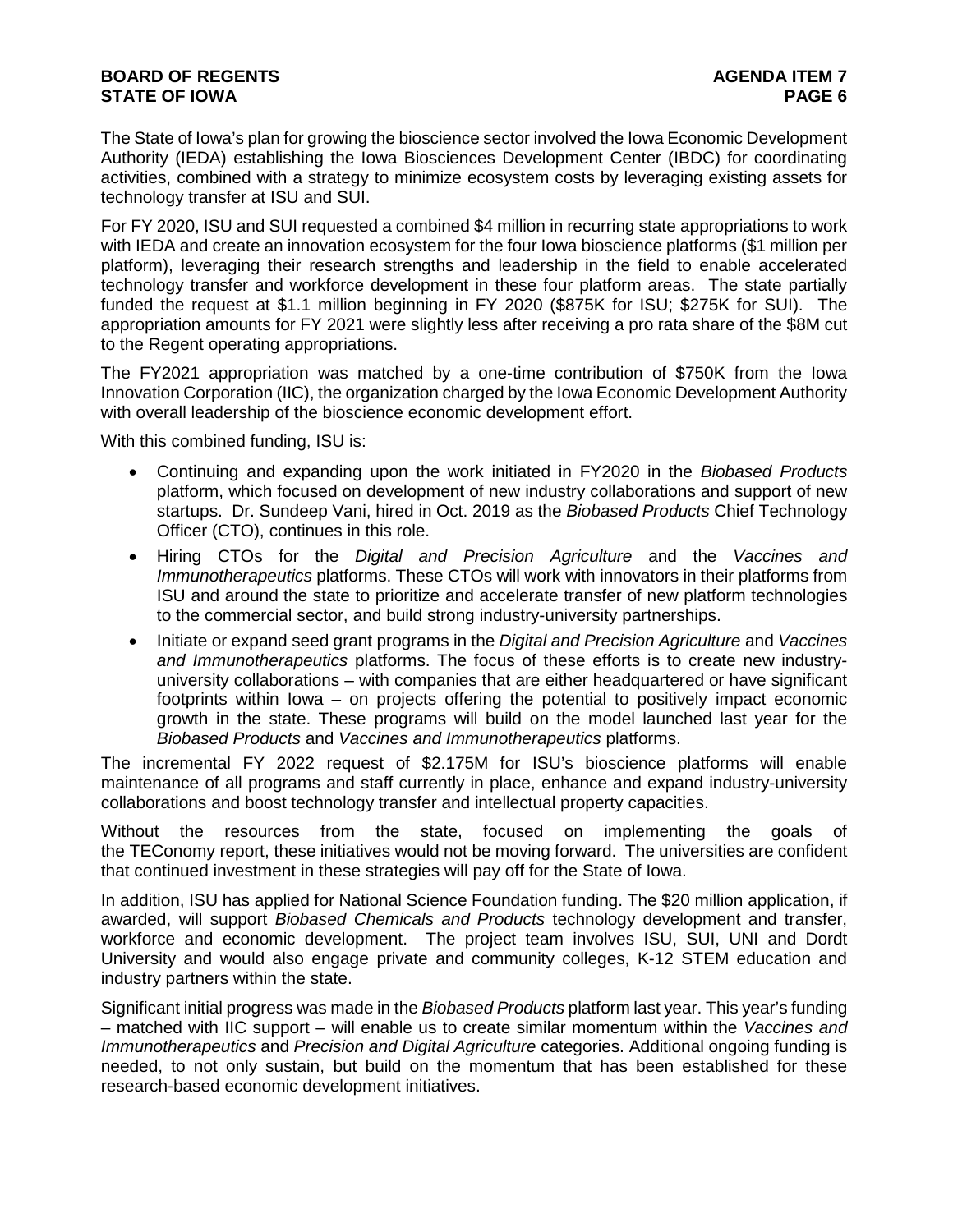The State of Iowa's plan for growing the bioscience sector involved the Iowa Economic Development Authority (IEDA) establishing the Iowa Biosciences Development Center (IBDC) for coordinating activities, combined with a strategy to minimize ecosystem costs by leveraging existing assets for technology transfer at ISU and SUI.

For FY 2020, ISU and SUI requested a combined \$4 million in recurring state appropriations to work with IEDA and create an innovation ecosystem for the four Iowa bioscience platforms (\$1 million per platform), leveraging their research strengths and leadership in the field to enable accelerated technology transfer and workforce development in these four platform areas. The state partially funded the request at \$1.1 million beginning in FY 2020 (\$875K for ISU; \$275K for SUI). The appropriation amounts for FY 2021 were slightly less after receiving a pro rata share of the \$8M cut to the Regent operating appropriations.

The FY2021 appropriation was matched by a one-time contribution of \$750K from the Iowa Innovation Corporation (IIC), the organization charged by the Iowa Economic Development Authority with overall leadership of the bioscience economic development effort.

With this combined funding, ISU is:

- Continuing and expanding upon the work initiated in FY2020 in the *Biobased Products*  platform, which focused on development of new industry collaborations and support of new startups. Dr. Sundeep Vani, hired in Oct. 2019 as the *Biobased Products* Chief Technology Officer (CTO), continues in this role.
- Hiring CTOs for the *Digital and Precision Agriculture* and the *Vaccines and Immunotherapeutics* platforms. These CTOs will work with innovators in their platforms from ISU and around the state to prioritize and accelerate transfer of new platform technologies to the commercial sector, and build strong industry-university partnerships.
- Initiate or expand seed grant programs in the *Digital and Precision Agriculture* and *Vaccines and Immunotherapeutics* platforms. The focus of these efforts is to create new industryuniversity collaborations – with companies that are either headquartered or have significant footprints within Iowa – on projects offering the potential to positively impact economic growth in the state. These programs will build on the model launched last year for the *Biobased Products* and *Vaccines and Immunotherapeutics* platforms.

The incremental FY 2022 request of \$2.175M for ISU's bioscience platforms will enable maintenance of all programs and staff currently in place, enhance and expand industry-university collaborations and boost technology transfer and intellectual property capacities.

Without the resources from the state, focused on implementing the goals of the TEConomy report, these initiatives would not be moving forward. The universities are confident that continued investment in these strategies will pay off for the State of Iowa.

In addition, ISU has applied for National Science Foundation funding. The \$20 million application, if awarded, will support *Biobased Chemicals and Products* technology development and transfer, workforce and economic development. The project team involves ISU, SUI, UNI and Dordt University and would also engage private and community colleges, K-12 STEM education and industry partners within the state.

Significant initial progress was made in the *Biobased Products* platform last year. This year's funding – matched with IIC support – will enable us to create similar momentum within the *Vaccines and Immunotherapeutics* and *Precision and Digital Agriculture* categories. Additional ongoing funding is needed, to not only sustain, but build on the momentum that has been established for these research-based economic development initiatives.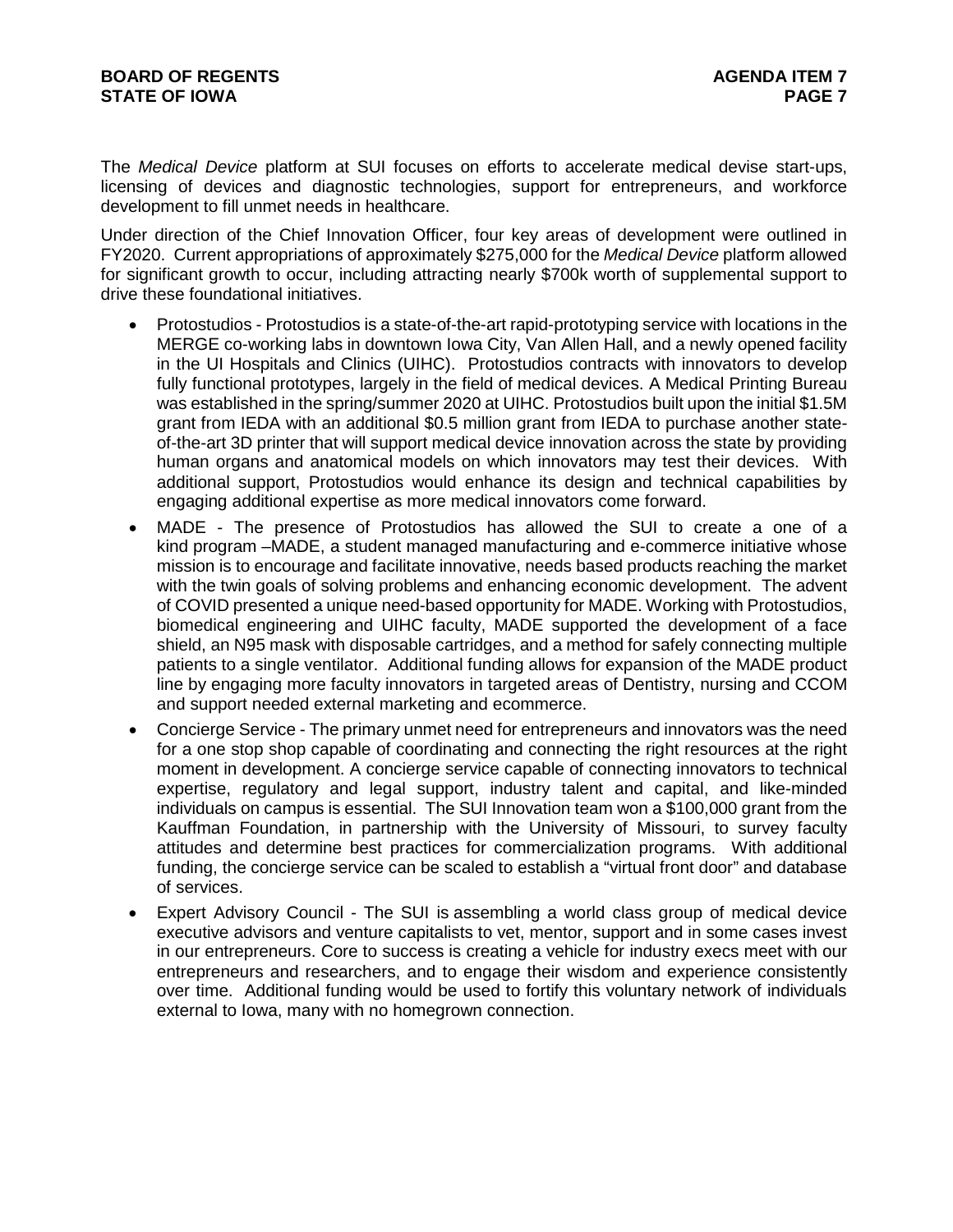The *Medical Device* platform at SUI focuses on efforts to accelerate medical devise start-ups, licensing of devices and diagnostic technologies, support for entrepreneurs, and workforce development to fill unmet needs in healthcare.

Under direction of the Chief Innovation Officer, four key areas of development were outlined in FY2020. Current appropriations of approximately \$275,000 for the *Medical Device* platform allowed for significant growth to occur, including attracting nearly \$700k worth of supplemental support to drive these foundational initiatives.

- Protostudios Protostudios is a state-of-the-art rapid-prototyping service with locations in the MERGE co-working labs in downtown Iowa City, Van Allen Hall, and a newly opened facility in the UI Hospitals and Clinics (UIHC). Protostudios contracts with innovators to develop fully functional prototypes, largely in the field of medical devices. A Medical Printing Bureau was established in the spring/summer 2020 at UIHC. Protostudios built upon the initial \$1.5M grant from IEDA with an additional \$0.5 million grant from IEDA to purchase another stateof-the-art 3D printer that will support medical device innovation across the state by providing human organs and anatomical models on which innovators may test their devices. With additional support, Protostudios would enhance its design and technical capabilities by engaging additional expertise as more medical innovators come forward.
- MADE The presence of Protostudios has allowed the SUI to create a one of a kind program –MADE, a student managed manufacturing and e-commerce initiative whose mission is to encourage and facilitate innovative, needs based products reaching the market with the twin goals of solving problems and enhancing economic development. The advent of COVID presented a unique need-based opportunity for MADE. Working with Protostudios, biomedical engineering and UIHC faculty, MADE supported the development of a face shield, an N95 mask with disposable cartridges, and a method for safely connecting multiple patients to a single ventilator. Additional funding allows for expansion of the MADE product line by engaging more faculty innovators in targeted areas of Dentistry, nursing and CCOM and support needed external marketing and ecommerce.
- Concierge Service The primary unmet need for entrepreneurs and innovators was the need for a one stop shop capable of coordinating and connecting the right resources at the right moment in development. A concierge service capable of connecting innovators to technical expertise, regulatory and legal support, industry talent and capital, and like-minded individuals on campus is essential. The SUI Innovation team won a \$100,000 grant from the Kauffman Foundation, in partnership with the University of Missouri, to survey faculty attitudes and determine best practices for commercialization programs. With additional funding, the concierge service can be scaled to establish a "virtual front door" and database of services.
- Expert Advisory Council The SUI is assembling a world class group of medical device executive advisors and venture capitalists to vet, mentor, support and in some cases invest in our entrepreneurs. Core to success is creating a vehicle for industry execs meet with our entrepreneurs and researchers, and to engage their wisdom and experience consistently over time. Additional funding would be used to fortify this voluntary network of individuals external to Iowa, many with no homegrown connection.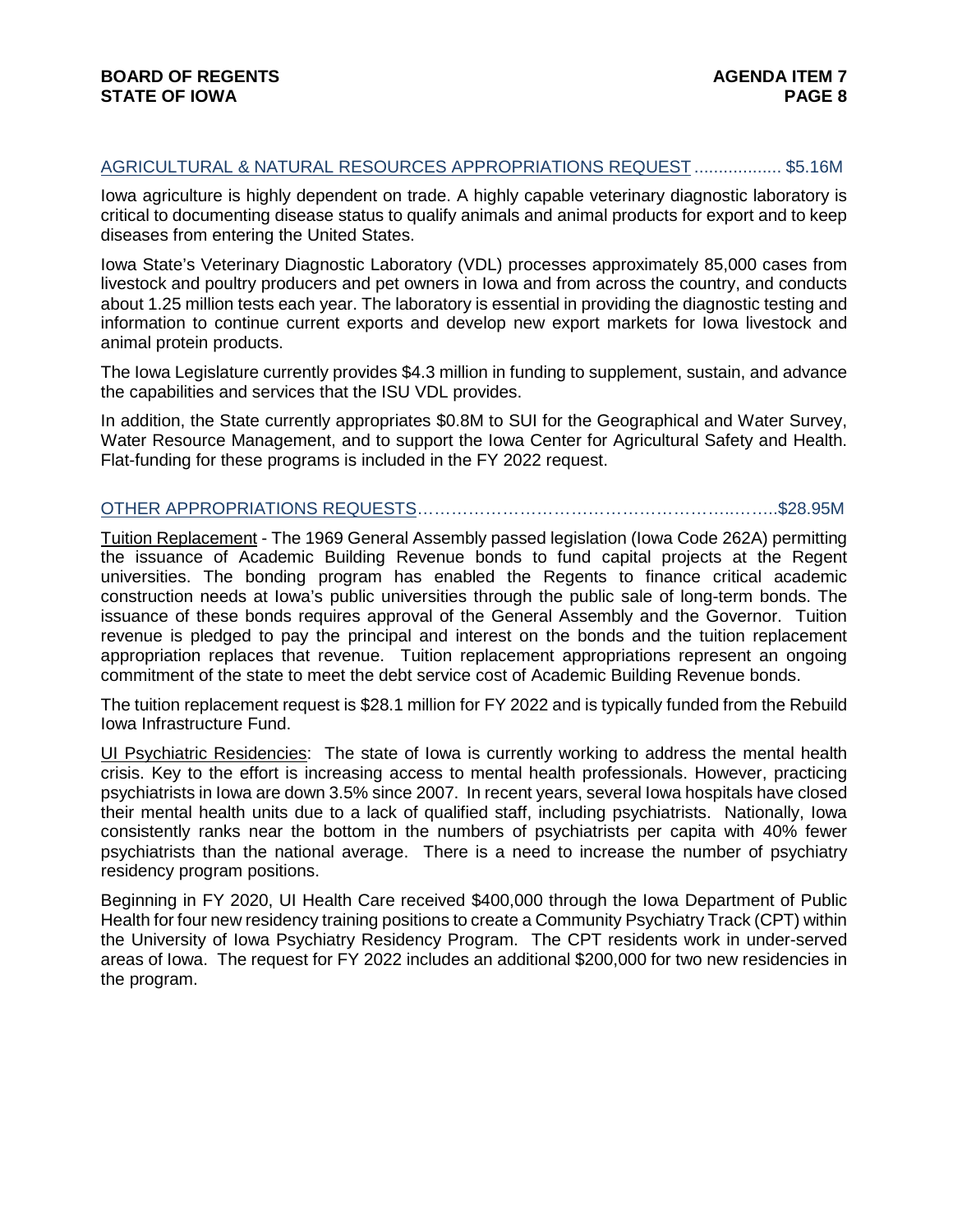## AGRICULTURAL & NATURAL RESOURCES APPROPRIATIONS REQUEST .................. \$5.16M

Iowa agriculture is highly dependent on trade. A highly capable veterinary diagnostic laboratory is critical to documenting disease status to qualify animals and animal products for export and to keep diseases from entering the United States.

Iowa State's Veterinary Diagnostic Laboratory (VDL) processes approximately 85,000 cases from livestock and poultry producers and pet owners in Iowa and from across the country, and conducts about 1.25 million tests each year. The laboratory is essential in providing the diagnostic testing and information to continue current exports and develop new export markets for Iowa livestock and animal protein products.

The Iowa Legislature currently provides \$4.3 million in funding to supplement, sustain, and advance the capabilities and services that the ISU VDL provides.

In addition, the State currently appropriates \$0.8M to SUI for the Geographical and Water Survey, Water Resource Management, and to support the Iowa Center for Agricultural Safety and Health. Flat-funding for these programs is included in the FY 2022 request.

# OTHER APPROPRIATIONS REQUESTS………………………………………………..……..\$28.95M

Tuition Replacement - The 1969 General Assembly passed legislation (lowa Code 262A) permitting the issuance of Academic Building Revenue bonds to fund capital projects at the Regent universities. The bonding program has enabled the Regents to finance critical academic construction needs at Iowa's public universities through the public sale of long-term bonds. The issuance of these bonds requires approval of the General Assembly and the Governor. Tuition revenue is pledged to pay the principal and interest on the bonds and the tuition replacement appropriation replaces that revenue. Tuition replacement appropriations represent an ongoing commitment of the state to meet the debt service cost of Academic Building Revenue bonds.

The tuition replacement request is \$28.1 million for FY 2022 and is typically funded from the Rebuild Iowa Infrastructure Fund.

UI Psychiatric Residencies: The state of Iowa is currently working to address the mental health crisis. Key to the effort is increasing access to mental health professionals. However, practicing psychiatrists in Iowa are down 3.5% since 2007. In recent years, several Iowa hospitals have closed their mental health units due to a lack of qualified staff, including psychiatrists. Nationally, Iowa consistently ranks near the bottom in the numbers of psychiatrists per capita with 40% fewer psychiatrists than the national average. There is a need to increase the number of psychiatry residency program positions.

Beginning in FY 2020, UI Health Care received \$400,000 through the Iowa Department of Public Health for four new residency training positions to create a Community Psychiatry Track (CPT) within the University of Iowa Psychiatry Residency Program. The CPT residents work in under-served areas of Iowa. The request for FY 2022 includes an additional \$200,000 for two new residencies in the program.